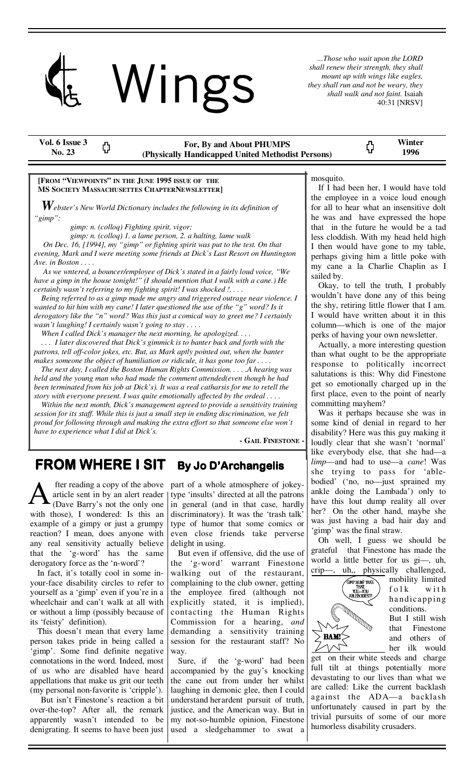

*...Those who wait upon the LORD shall renew their strength, they shall mount up with wings like eagles, they shall run and not be weary, they shall walk and not faint.* Isaiah 40:31 [NRSV]

| Vol. 6 Issue 3<br>No. 23 |  | For, By and About PHUMPS<br>(Physically Handicapped United Methodist Persons) |  | Winter<br>1996 |  |
|--------------------------|--|-------------------------------------------------------------------------------|--|----------------|--|
|--------------------------|--|-------------------------------------------------------------------------------|--|----------------|--|

#### **[FROM "VIEWPOINTS" IN THE JUNE 1995 ISSUE OF THE MS SOCIETY MASSACHUSETTES CHAPTERNEWSLETTER]**

*Webster's New World Dictionary includes the following in its definition of "gimp":* 

 *gimp: n. (colloq) Fighting spirit, vigor;* 

 *gimp: n. (colloq) 1. a lame person, 2. a halting, lame walk* 

 *On Dec. 16, [1994], my "gimp" or fighting spirit was put to the test. On that evening, Mark and I were meeting some friends at Dick's Last Resort on Huntington Ave. in Boston . . . .* 

 *As we wntered, a bouncer/employee of Dick's stated in a fairly loud voice, "We have a gimp in the house tonight!" (I should mention that I walk with a cane.) He certainly wasn't referring to my fighting spirit! I was shocked !. . . .* 

 *Being referred to as a gimp made me angry and triggered outrage near violence. I wanted to hit him with my cane! I later questioned the use of the "g" word? Is it derogatory like the "n" word? Was this just a comical way to greet me? I certainly wasn't laughing! I certainly wasn't going to stay . . . .* 

 *When I called Dick's manager the next morning, he apologized. . . .* 

 *. . . I later discovered that Dick's gimmick is to banter back and forth with the patrons, tell off-color jokes, etc. But, as Mark aptly pointed out, when the banter makes someone the object of humiliation or ridicule, it has gone too far . . . .* 

 *The next day, I called the Boston Human Rights Commission. . . . .A hearing was held and the young man who had made the comment attended(even though he had been terminated from his job at Dick's). It was a real catharsis for me to retell the story with everyone present. I was quite emotionally affected by the ordeal . . . .* 

 *Within the next month, Dick's management agreed to provide a sensitivity training session for its staff. While this is just a small step in ending discrimination, we felt proud for following through and making the extra effort so that someone else won't have to experience what I did at Dick's.* 

**- GAIL FINESTONE -**

# **FROM WHERE I SIT By Jo D'Archangelis**

 fter reading a copy of the above article sent in by an alert reader (Dave Barry's not the only one with those), I wondered: Is this an example of a gimpy or just a grumpy reaction? I mean, does anyone with any real sensitivity actually believe that the 'g-word' has the same derogatory force as the 'n-word'?

 In fact, it's totally cool in some inyour-face disability circles to refer to yourself as a 'gimp' even if you're in a wheelchair and can't walk at all with or without a limp (possibly because of its 'feisty' definition).

 This doesn't mean that every lame person takes pride in being called a 'gimp'. Some find definite negative connotations in the word. Indeed, most of us who are disabled have heard appellations that make us grit our teeth (my personal non-favorite is 'cripple').

 But isn't Finestone's reaction a bit over-the-top? After all, the remark apparently wasn't intended to be denigrating. It seems to have been just

part of a whole atmosphere of jokeytype 'insults' directed at all the patrons in general (and in that case, hardly discriminatory). It was the 'trash talk' type of humor that some comics or even close friends take perverse delight in using.

 But even if offensive, did the use of the 'g-word' warrant Finestone walking out of the restaurant, complaining to the club owner, getting the employee fired (although not explicitly stated, it is implied), contacting the Human Rights Commission for a hearing, *and* demanding a sensitivity training session for the restaurant staff? No way.

 Sure, if the 'g-word' had been accompanied by the guy's knocking the cane out from under her whilst laughing in demonic glee, then I could understand her ardent pursuit of truth, justice, and the American way. But in my not-so-humble opinion, Finestone used a sledgehammer to swat a

mosquito.

 If I had been her, I would have told the employee in a voice loud enough for all to hear what an insensitive dolt he was and have expressed the hope that in the future he would be a tad less cloddish. With my head held high I then would have gone to my table, perhaps giving him a little poke with my cane a la Charlie Chaplin as I sailed by.

 Okay, to tell the truth, I probably wouldn't have done any of this being the shy, retiring little flower that I am. I would have written about it in this column—which is one of the major perks of having your own newsletter.

 Actually, a more interesting question than what ought to be the appropriate response to politically incorrect salutations is this: Why did Finestone get so emotionally charged up in the first place, even to the point of nearly committing mayhem?

 Was it perhaps because she was in some kind of denial in regard to her disability? Here was this guy making it loudly clear that she wasn't 'normal' like everybody else, that she had—a *limp*—and had to use—a *cane*! Was she trying to pass for 'ablebodied' ('no, no—just sprained my ankle doing the Lambada') only to have this lout dump reality all over her? On the other hand, maybe she was just having a bad hair day and 'gimp' was the final straw.

 Oh well, I guess we should be grateful that Finestone has made the world a little better for us gi—, uh, crip—, uh,, physically challenged,



mobility limited f o l k with handicapping conditions.

But I still wish that Finestone and others of her ilk would

get on their white steeds and charge full tilt at things potentially more devastating to our lives than what we are called: Like the current backlash against the ADA—a backlash unfortunately caused in part by the trivial pursuits of some of our more humorless disability crusaders.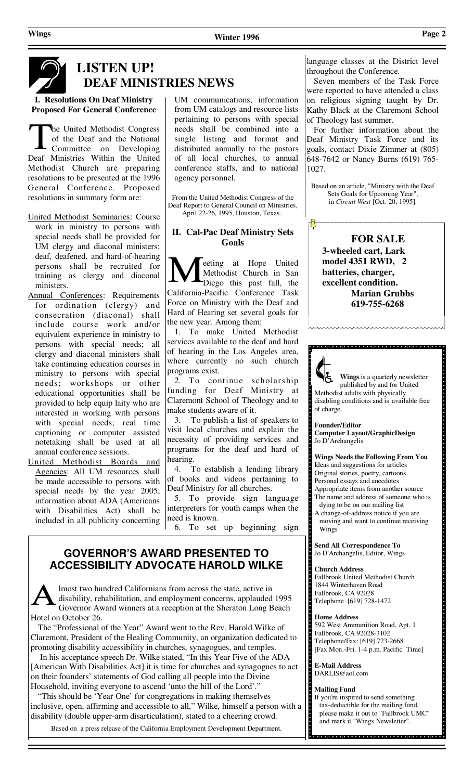

# **LISTEN UP! DEAF MINISTRIES NEWS**

#### **I. Resolutions On Deaf Ministry Proposed For General Conference**

he United Methodist Congress of the Deaf and the National Committee on Developing Deaf Ministries Within the United Methodist Church are preparing resolutions to be presented at the 1996 General Conference. Proposed resolutions in summary form are:

- United Methodist Seminaries: Course work in ministry to persons with special needs shall be provided for UM clergy and diaconal ministers; deaf, deafened, and hard-of-hearing persons shall be recruited for training as clergy and diaconal ministers.
- Annual Conferences: Requirements for ordination (clergy) and consecration (diaconal) shall include course work and/or equivalent experience in ministry to persons with special needs; all clergy and diaconal ministers shall take continuing education courses in ministry to persons with special needs; workshops or other educational opportunities shall be provided to help equip laity who are interested in working with persons with special needs; real time captioning or computer assisted notetaking shall be used at all annual conference sessions.
- United Methodist Boards and Agencies: All UM resources shall be made accessible to persons with special needs by the year 2005; information about ADA (Americans with Disabilities Act) shall be included in all publicity concerning

UM communications; information from UM catalogs and resource lists pertaining to persons with special needs shall be combined into a single listing and format and distributed annually to the pastors of all local churches, to annual conference staffs, and to national agency personnel.

From the United Methodist Congress of the Deaf Report to General Council on Ministries, April 22-26, 1995, Houston, Texas.

### **II. Cal-Pac Deaf Ministry Sets Goals**

eeting at Hope United Methodist Church in San Diego this past fall, the California-Pacific Conference Task Force on Ministry with the Deaf and Hard of Hearing set several goals for the new year. Among them:

1. To make United Methodist services available to the deaf and hard of hearing in the Los Angeles area, where currently no such church programs exist.

 2. To continue scholarship funding for Deaf Ministry at Claremont School of Theology and to make students aware of it.

 3. To publish a list of speakers to visit local churches and explain the necessity of providing services and programs for the deaf and hard of hearing.

 4. To establish a lending library of books and videos pertaining to Deaf Ministry for all churches.

 5. To provide sign language interpreters for youth camps when the need is known.

6. To set up beginning sign

## **GOVERNOR'S AWARD PRESENTED TO ACCESSIBILITY ADVOCATE HAROLD WILKE**

lmost two hundred Californians from across the state, active in disability, rehabilitation, and employment concerns, applauded 1995 Governor Award winners at a reception at the Sheraton Long Beach Hotel on October 26.

 The "Professional of the Year" Award went to the Rev. Harold Wilke of Claremont, President of the Healing Community, an organization dedicated to promoting disability accessibility in churches, synagogues, and temples.

 In his acceptance speech Dr. Wilke stated, "In this Year Five of the ADA [American With Disabilities Act] it is time for churches and synagogues to act on their founders' statements of God calling all people into the Divine Household, inviting everyone to ascend 'unto the hill of the Lord'.'

 "This should be 'Year One' for congregations in making themselves inclusive, open, affirming and accessible to all," Wilke, himself a person with a disability (double upper-arm disarticulation), stated to a cheering crowd.

Based on a press release of the California Employment Development Department.

language classes at the District level throughout the Conference.

 Seven members of the Task Force were reported to have attended a class on religious signing taught by Dr. Kathy Black at the Claremont School of Theology last summer.

 For further information about the Deaf Ministry Task Force and its goals, contact Dixie Zimmer at (805) 648-7642 or Nancy Burns (619) 765- 1027.

Based on an article, "Ministry with the Deaf Sets Goals for Upcoming Year", in *Circuit West* [Oct. 20, 1995].

**FOR SALE 3-wheeled cart, Lark model 4351 RWD, 2 batteries, charger, excellent condition. Marian Grubbs 619-755-6268** 



 **Wings** is a quarterly newsletter published by and for United Methodist adults with physically disabling conditions and is available free of charge.

<u>alarahasin dan sebagai dan sebagai dan sebagai dan sebagai dan sebagai dan sebagai dan sebagai dan sebagai dan</u>

**Founder/Editor Computer Layout/GraphicDesign**  Jo D'Archangelis

**Wings Needs the Following From You**  Ideas and suggestions for articles Original stories, poetry, cartoons Personal essays and anecdotes Appropriate items from another source The name and address of someone who is dying to be on our mailing list A change-of-address notice if you are moving and want to continue receiving Wings

a de de la concele de la concele de la concele de la concele de la concele de la concele de la concele de la concele de la concele de la concele

**Send All Correspondence To**  Jo D'Archangelis, Editor, Wings

#### **Church Address**

Fallbrook United Methodist Church 1844 Winterhaven Road Fallbrook, CA 92028 Telephone [619] 728-1472

#### **Home Address**

592 West Ammunition Road, Apt. 1 Fallbrook, CA 92028-3102 Telephone/Fax: [619] 723-2668 [Fax Mon.-Fri. 1-4 p.m. Pacific Time]

**E-Mail Address**  DARLIS@aol.com

#### **Mailing Fund**

If you're inspired to send something tax-deductible for the mailing fund, please make it out to "Fallbrook UMC" and mark it "Wings Newsletter".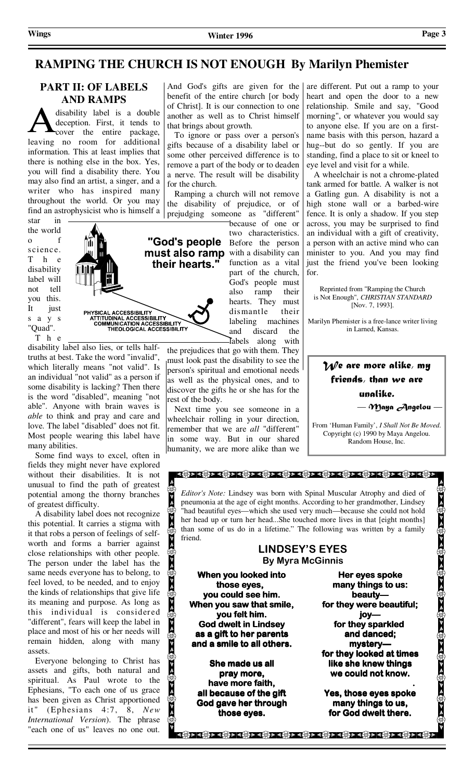# **RAMPING THE CHURCH IS NOT ENOUGH By Marilyn Phemister**

## **PART II: OF LABELS AND RAMPS**

disability label is a double deception. First, it tends to cover the entire package, leaving no room for additional information. This at least implies that there is nothing else in the box. Yes, you will find a disability there. You may also find an artist, a singer, and a writer who has inspired many throughout the world. Or you may find an astrophysicist who is himself a

star in the world o f science. T h e disability label will not tell you this. It just s a y s "Quad". T h e



disability label also lies, or tells halftruths at best. Take the word "invalid", which literally means "not valid". Is an individual "not valid" as a person if some disability is lacking? Then there is the word "disabled", meaning "not able". Anyone with brain waves is *able* to think and pray and care and love. The label "disabled" does not fit. Most people wearing this label have many abilities.

 Some find ways to excel, often in fields they might never have explored without their disabilities. It is not unusual to find the path of greatest potential among the thorny branches of greatest difficulty.

 A disability label does not recognize this potential. It carries a stigma with it that robs a person of feelings of selfworth and forms a barrier against close relationships with other people. The person under the label has the same needs everyone has to belong, to feel loved, to be needed, and to enjoy the kinds of relationships that give life its meaning and purpose. As long as this individual is considered "different", fears will keep the label in place and most of his or her needs will remain hidden, along with many assets.

 Everyone belonging to Christ has assets and gifts, both natural and spiritual. As Paul wrote to the Ephesians, "To each one of us grace has been given as Christ apportioned it" (Ephesians 4:7, 8, *New International Version*). The phrase "each one of us" leaves no one out.

And God's gifts are given for the benefit of the entire church [or body of Christ]. It is our connection to one another as well as to Christ himself that brings about growth.

 To ignore or pass over a person's gifts because of a disability label or some other perceived difference is to remove a part of the body or to deaden a nerve. The result will be disability for the church.

 Ramping a church will not remove the disability of prejudice, or of prejudging someone as "different"

> because of one or two characteristics. function as a vital part of the church, God's people must also ramp their hearts. They must dismantle their labeling machines and discard the labels along with

the prejudices that go with them. They must look past the disability to see the person's spiritual and emotional needs as well as the physical ones, and to discover the gifts he or she has for the rest of the body.

 Next time you see someone in a wheelchair rolling in your direction, remember that we are *all* "different" in some way. But in our shared humanity, we are more alike than we

are different. Put out a ramp to your heart and open the door to a new relationship. Smile and say, "Good morning", or whatever you would say to anyone else. If you are on a firstname basis with this person, hazard a hug--but do so gently. If you are standing, find a place to sit or kneel to eye level and visit for a while.

 A wheelchair is not a chrome-plated tank armed for battle. A walker is not a Gatling gun. A disability is not a high stone wall or a barbed-wire fence. It is only a shadow. If you step across, you may be surprised to find an individual with a gift of creativity, a person with an active mind who can minister to you. And you may find just the friend you've been looking for.

Reprinted from "Ramping the Church is Not Enough", *CHRISTIAN STANDARD* [Nov. 7, 1993].

Marilyn Phemister is a free-lance writer living in Larned, Kansas.

# *We are more alike, my friends, than we are unalike. — Maya Angelou —*

From 'Human Family', *I Shall Not Be Moved*. Copyright (c) 1990 by Maya Angelou. Random House, Inc.

*Editor's Note:* Lindsey was born with Spinal Muscular Atrophy and died of pneumonia at the age of eight months. According to her grandmother, Lindsey "had beautiful eyes—which she used very much—because she could not hold her head up or turn her head...She touched more lives in that [eight months] than some of us do in a lifetime." The following was written by a family friend.

<u> दक्षित्र दक्षित्र दक्षित्र दक्षित्र दक्षित्र दक्षित्र दक्षित्र दक्षित्र दक्षित्र दक्षित्र दक्षित्र</u>

#### **LINDSEY'S EYES By Myra McGinnis**

**When you looked into** those eyes, you could see him. **When you saw that smile, you felt him. him. God dwelt in Lindsey Lindsey as a gift to her parents as to and a smile to all others. and a smile others.** 

 $\textcircled{1}$ 

**She made us all** pray more, have more faith, **all because of the gift all because God gave her through those eyes. those eyes.** 

**Her eyes spoke many things to us: many to us: beauty— beauty**  for they were beautiful; **joy**  for they sparkled **and danced; mystery— mystery**  for they looked at times **like she knew things**  we could not know.  **.** 

 $\mathcal{L}(\mathcal{G}) > \mathcal{L}(\mathcal{G}) > \mathcal{L}(\mathcal{G}) > \mathcal{L}(\mathcal{G}) > \mathcal{L}(\mathcal{G}) > \mathcal{L}(\mathcal{G}) > \mathcal{L}(\mathcal{G}) > \mathcal{L}(\mathcal{G}) > \mathcal{L}(\mathcal{G}) > \mathcal{L}(\mathcal{G}) > \mathcal{L}(\mathcal{G}) > \mathcal{L}(\mathcal{G}) > \mathcal{L}(\mathcal{G}) > \mathcal{L}(\mathcal{G}) > \mathcal{L}(\mathcal{G}) > \mathcal{L}(\mathcal{G}) > \mathcal{L}(\mathcal{G})$ 

**Yes, those eyes spoke many things to us, many to us, for God dwelt there.**